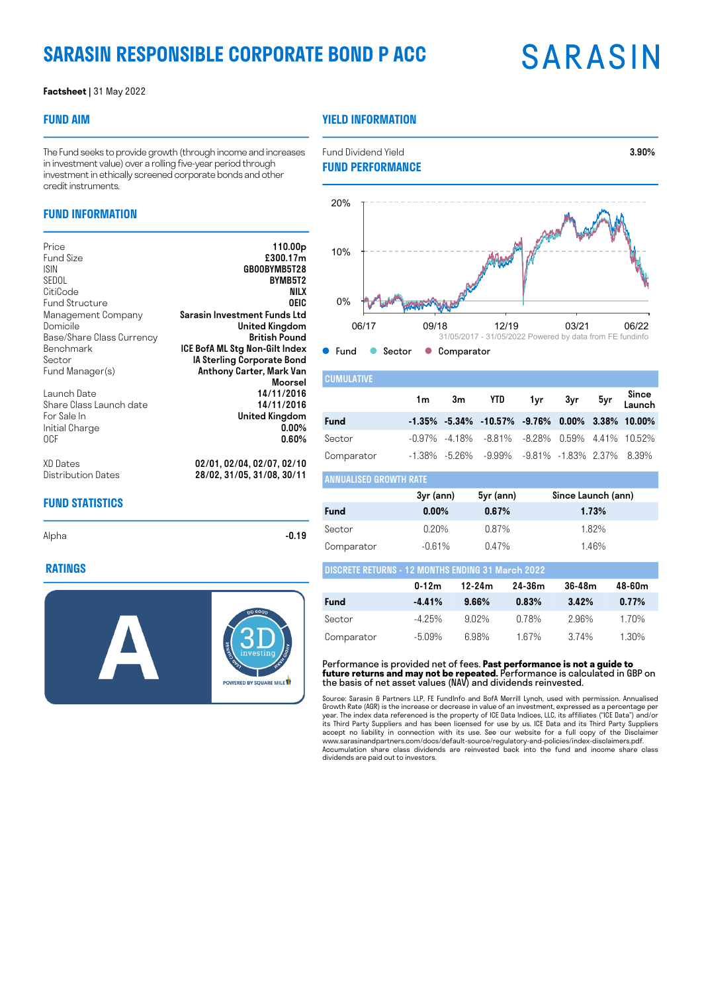## **SARASIN RESPONSIBLE CORPORATE BOND P ACC**

## **SARASIN**

#### **Factsheet |** 31 May 2022

#### **FUND AIM**

#### **YIELD INFORMATION**

The Fund seeks to provide growth (through income and increases in investment value) over a rolling five-year period through investment in ethically screened corporate bonds and other credit instruments.

### **FUND INFORMATION**

| Price                                                                          | 110.00 <sub>p</sub>                                                                  |
|--------------------------------------------------------------------------------|--------------------------------------------------------------------------------------|
| <b>Fund Size</b>                                                               | £300.17m                                                                             |
| <b>ISIN</b>                                                                    | GB00BYMB5T28                                                                         |
| SEDOL                                                                          | BYMB5T2                                                                              |
| CitiCode                                                                       | NILX                                                                                 |
| <b>Fund Structure</b>                                                          | OEIC                                                                                 |
| Management Company                                                             | Sarasin Investment Funds Ltd                                                         |
| Domicile                                                                       | United Kingdom                                                                       |
| Base/Share Class Currency                                                      | British Pound                                                                        |
| Benchmark                                                                      | ICE BofA ML Stg Non-Gilt Index                                                       |
| Sector                                                                         | IA Sterling Corporate Bond                                                           |
| Fund Manager(s)                                                                | Anthony Carter, Mark Van                                                             |
| Launch Date<br>Share Class Launch date<br>For Sale In<br>Initial Charge<br>0CF | Moorsel<br>14/11/2016<br>14/11/2016<br><b>United Kingdom</b><br>$0.00\%$<br>$0.60\%$ |
| XD Dates                                                                       | 02/01, 02/04, 02/07, 02/10                                                           |
| Distribution Dates                                                             | 28/02, 31/05, 31/08, 30/11                                                           |

### **O** Fund Concerce Comparator **CUMULATIVE** 06/17 09/18 12/19 03/21 06/22 0% 31/05/2017 - 31/05/2022 Powered by data from FE fundinfo

|             |  | 1m 3m YTD 1yr 3yr 5yr <mark>Since</mark>                      |  |  |
|-------------|--|---------------------------------------------------------------|--|--|
| <b>Fund</b> |  | $-1.35\%$ $-5.34\%$ $-10.57\%$ $-9.76\%$ 0.00% 3.38% 10.00%   |  |  |
| Sector      |  | $-0.97\%$ $-4.18\%$ $-8.81\%$ $-8.28\%$ 0.59% 4.41% 10.52%    |  |  |
| Comparator  |  | $-1.38\%$ $-5.26\%$ $-9.99\%$ $-9.81\%$ $-1.83\%$ 2.37% 8.39% |  |  |

#### **FUND STATISTICS**

Alpha -**0.19** -**0.19** 

#### **RATINGS**



| ANNUALISED GROWTH RATE |           |           |                    |  |  |  |  |
|------------------------|-----------|-----------|--------------------|--|--|--|--|
|                        | 3yr (ann) | 5yr (ann) | Since Launch (ann) |  |  |  |  |
| Fund                   | $0.00\%$  | 0.67%     | 1.73%              |  |  |  |  |
| Sector                 | $0.20\%$  | $0.87\%$  | 1.82%              |  |  |  |  |
| Comparator             | $-0.61%$  | 0.47%     | 1.46%              |  |  |  |  |

| <b>DISCRETE RETURNS - 12 MONTHS ENDING 31 March 2022</b> |           |          |        |        |          |
|----------------------------------------------------------|-----------|----------|--------|--------|----------|
|                                                          | $0-12m$   | 12-24m   | 24-36m | 36-48m | 48-60m   |
| <b>Fund</b>                                              | $-4.41%$  | $9.66\%$ | 0.83%  | 3.42%  | 0.77%    |
| Sector                                                   | $-4.25\%$ | 9.02%    | 0.78%  | 296%   | 1 7 0 %  |
| Comparator                                               | -5.09%    | 6.98%    | 167%   | 3.74%  | $1.30\%$ |

Performance is provided net of fees. **Past performance is not a guide to future returns and may not be repeated.** Performance is calculated in GBP on the basis of net asset values (NAV) and dividends reinvested.

Source: Sarasin & Partners LLP, FE Fundlnfo and BofA Merrill Lynch, used with permission. Annualised<br>Growth Rate (AGR) is the increase or decrease in value of an investment, expressed as a percentage per<br>gear. The index da dividends are paid out to investors.

**FUND PERFORMANCE** 10% 20%

Fund Dividend Yield 3.90%